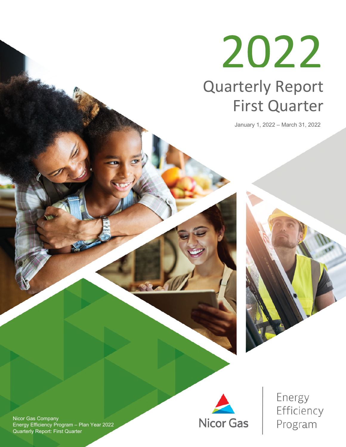# 2022 Quarterly Report First Quarter

January 1, 2022 – March 31, 2022





Energy Efficiency Program

Nicor Gas Company Energy Efficiency Program – Plan Year 2022 Quarterly Report: First Quarter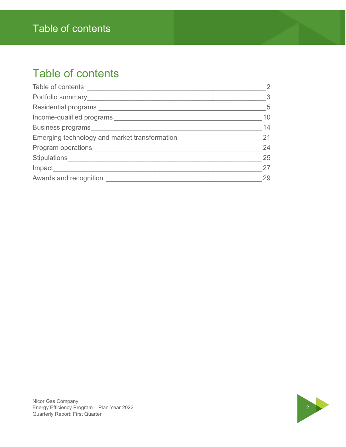### Table of contents

### Table of contents

| Table of contents ___________                 | $\overline{2}$ |
|-----------------------------------------------|----------------|
|                                               | $\overline{3}$ |
|                                               | 5              |
| Income-qualified programs                     | 10             |
| Business programs                             | 14             |
| Emerging technology and market transformation | 21             |
|                                               | 24             |
| Stipulations                                  | 25             |
| Impact____________                            | 27             |
| Awards and recognition                        | 29             |
|                                               |                |

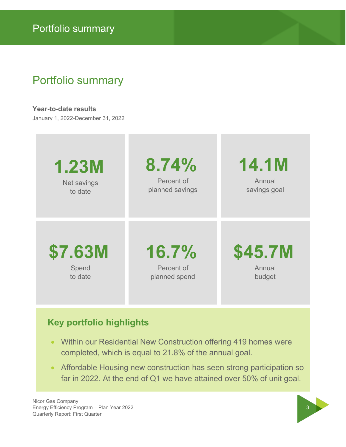### Portfolio summary

**Year-to-date results** 

January 1, 2022-December 31, 2022



### **Key portfolio highlights**

- Within our Residential New Construction offering 419 homes were completed, which is equal to 21.8% of the annual goal.
- Affordable Housing new construction has seen strong participation so far in 2022. At the end of Q1 we have attained over 50% of unit goal.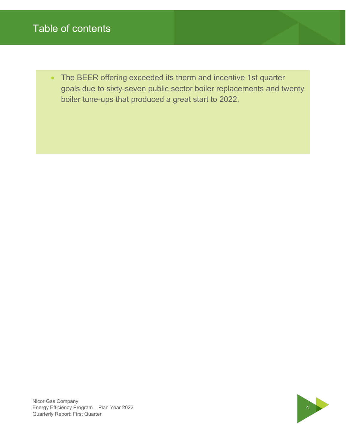### Table of contents

• The BEER offering exceeded its therm and incentive 1st quarter goals due to sixty-seven public sector boiler replacements and twenty boiler tune-ups that produced a great start to 2022.

Nicor Gas Company Nicor Gas Company<br>Energy Efficiency Program – Plan Year 2022<br>Quarterly Report: First Quarter Quarterly Report: First Quarter

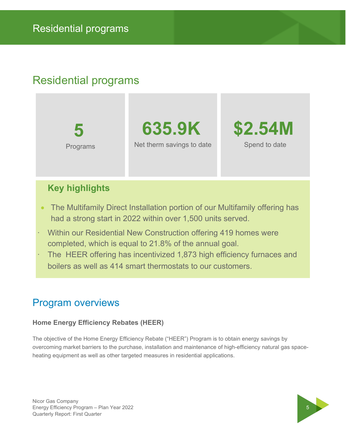### Residential programs

**5**  Programs

**635.9K**  Net therm savings to date



### **Key highlights**

- The Multifamily Direct Installation portion of our Multifamily offering has had a strong start in 2022 within over 1,500 units served.
- · Within our Residential New Construction offering 419 homes were completed, which is equal to 21.8% of the annual goal.
- The HEER offering has incentivized 1,873 high efficiency furnaces and boilers as well as 414 smart thermostats to our customers.

### Program overviews

#### **Home Energy Efficiency Rebates (HEER)**

The objective of the Home Energy Efficiency Rebate ("HEER") Program is to obtain energy savings by overcoming market barriers to the purchase, installation and maintenance of high-efficiency natural gas spaceheating equipment as well as other targeted measures in residential applications.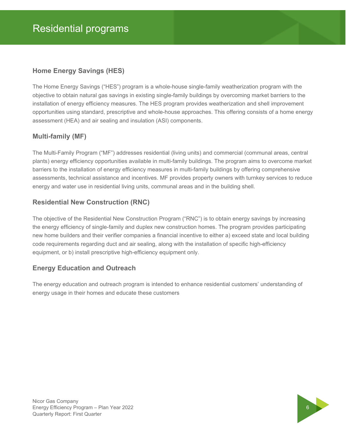#### **Home Energy Savings (HES)**

The Home Energy Savings ("HES") program is a whole-house single-family weatherization program with the objective to obtain natural gas savings in existing single-family buildings by overcoming market barriers to the installation of energy efficiency measures. The HES program provides weatherization and shell improvement opportunities using standard, prescriptive and whole-house approaches. This offering consists of a home energy assessment (HEA) and air sealing and insulation (ASI) components.

#### **Multi-family (MF)**

The Multi-Family Program ("MF") addresses residential (living units) and commercial (communal areas, central plants) energy efficiency opportunities available in multi-family buildings. The program aims to overcome market barriers to the installation of energy efficiency measures in multi-family buildings by offering comprehensive assessments, technical assistance and incentives. MF provides property owners with turnkey services to reduce energy and water use in residential living units, communal areas and in the building shell.

#### **Residential New Construction (RNC)**

The objective of the Residential New Construction Program ("RNC") is to obtain energy savings by increasing the energy efficiency of single-family and duplex new construction homes. The program provides participating new home builders and their verifier companies a financial incentive to either a) exceed state and local building code requirements regarding duct and air sealing, along with the installation of specific high-efficiency equipment, or b) install prescriptive high-efficiency equipment only.

#### **Energy Education and Outreach**

The energy education and outreach program is intended to enhance residential customers' understanding of energy usage in their homes and educate these customers

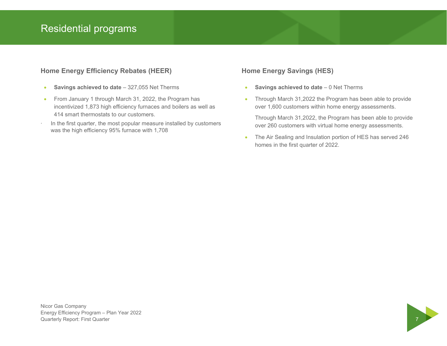### Residential programs

#### **Home Energy Efficiency Rebates (HEER)**

- **Savings achieved to date** 327,055 Net Therms
- From January 1 through March 31, 2022, the Program has incentivized 1,873 high efficiency furnaces and boilers as well as 414 smart thermostats to our customers.
- In the first quarter, the most popular measure installed by customers was the high efficiency 95% furnace with 1,708

#### **Home Energy Savings (HES)**

- **Savings achieved to date** 0 Net Therms
- Through March 31,2022 the Program has been able to provide over 1,600 customers within home energy assessments.

Through March 31,2022, the Program has been able to provide over 260 customers with virtual home energy assessments.

• The Air Sealing and Insulation portion of HES has served 246 homes in the first quarter of 2022.

Nicor Gas Company Energy Efficiency Program – Plan Year 2022 Quarterly Report: First Quarter 7

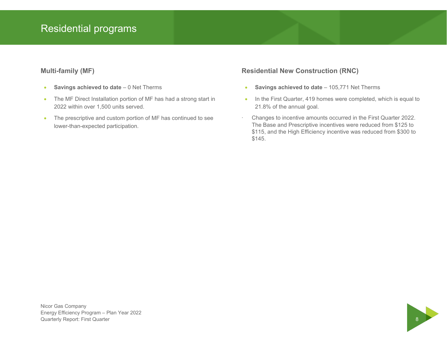### Residential programs

#### **Multi-family (MF)**

- **Savings achieved to date**  $-0$  Net Therms
- The MF Direct Installation portion of MF has had a strong start in 2022 within over 1,500 units served.
- The prescriptive and custom portion of MF has continued to see lower-than-expected participation.

#### **Residential New Construction (RNC)**

- **Savings achieved to date** 105,771 Net Therms
- In the First Quarter, 419 homes were completed, which is equal to 21.8% of the annual goal.
- · Changes to incentive amounts occurred in the First Quarter 2022. The Base and Prescriptive incentives were reduced from \$125 to \$115, and the High Efficiency incentive was reduced from \$300 to \$145.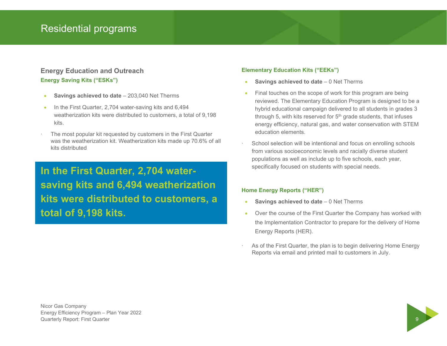#### **Energy Education and Outreach Energy Saving Kits ("ESKs")**

- **Savings achieved to date**  $-203,040$  Net Therms
- In the First Quarter, 2,704 water-saving kits and 6,494 weatherization kits were distributed to customers, a total of 9,198 kits.
- The most popular kit requested by customers in the First Quarter was the weatherization kit. Weatherization kits made up 70.6% of all kits distributed

### **In the First Quarter, 2,704 watersaving kits and 6,494 weatherization kits were distributed to customers, a total of 9,198 kits.**

#### **Elementary Education Kits ("EEKs")**

- **Savings achieved to date**  0 Net Therms
- Final touches on the scope of work for this program are being reviewed. The Elementary Education Program is designed to be a hybrid educational campaign delivered to all students in grades 3 through 5, with kits reserved for  $5<sup>th</sup>$  grade students, that infuses energy efficiency, natural gas, and water conservation with STEM education elements.
- School selection will be intentional and focus on enrolling schools from various socioeconomic levels and racially diverse student populations as well as include up to five schools, each year, specifically focused on students with special needs.

#### **Home Energy Reports ("HER")**

- **Savings achieved to date**  $-0$  Net Therms
- Over the course of the First Quarter the Company has worked with the Implementation Contractor to prepare for the delivery of Home Energy Reports (HER).
- As of the First Quarter, the plan is to begin delivering Home Energy Reports via email and printed mail to customers in July.

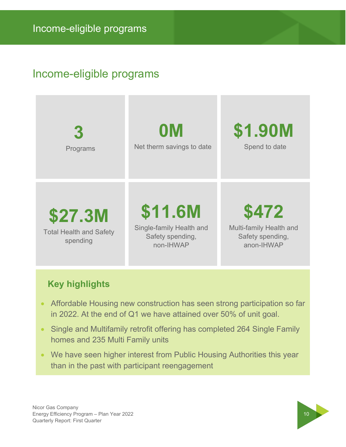### Income-eligible programs

| 3                                                     | 0M                                                                   | \$1.90M                                                            |
|-------------------------------------------------------|----------------------------------------------------------------------|--------------------------------------------------------------------|
| Programs                                              | Net therm savings to date                                            | Spend to date                                                      |
| \$27.3M<br><b>Total Health and Safety</b><br>spending | \$11.6M<br>Single-family Health and<br>Safety spending,<br>non-IHWAP | \$472<br>Multi-family Health and<br>Safety spending,<br>anon-IHWAP |

### **Key highlights**

- Affordable Housing new construction has seen strong participation so far in 2022. At the end of Q1 we have attained over 50% of unit goal.
- Single and Multifamily retrofit offering has completed 264 Single Family homes and 235 Multi Family units
- We have seen higher interest from Public Housing Authorities this year than in the past with participant reengagement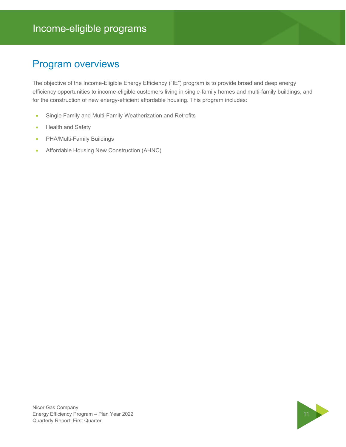### Program overviews

The objective of the Income-Eligible Energy Efficiency ("IE") program is to provide broad and deep energy efficiency opportunities to income-eligible customers living in single-family homes and multi-family buildings, and for the construction of new energy-efficient affordable housing. This program includes:

- Single Family and Multi-Family Weatherization and Retrofits
- Health and Safety
- PHA/Multi-Family Buildings
- Affordable Housing New Construction (AHNC)

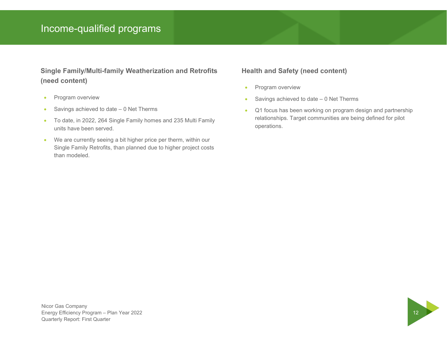### Income-qualified programs

### **Single Family/Multi-family Weatherization and Retrofits (need content)**

- Program overview
- $\bullet$  Savings achieved to date  $-$  0 Net Therms
- To date, in 2022, 264 Single Family homes and 235 Multi Family units have been served.
- We are currently seeing a bit higher price per therm, within our Single Family Retrofits, than planned due to higher project costs than modeled.

#### **Health and Safety (need content)**

- Program overview
- $\bullet$  Savings achieved to date  $-$  0 Net Therms
- Q1 focus has been working on program design and partnership relationships. Target communities are being defined for pilot operations.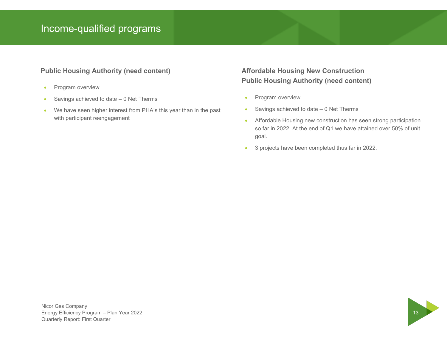### Income-qualified programs

#### **Public Housing Authority (need content)**

- Program overview
- $\bullet$  Savings achieved to date  $-$  0 Net Therms
- We have seen higher interest from PHA's this year than in the past with participant reengagement

### **Affordable Housing New Construction Public Housing Authority (need content)**

- Program overview
- $\bullet$  Savings achieved to date  $-$  0 Net Therms
- Affordable Housing new construction has seen strong participation so far in 2022. At the end of Q1 we have attained over 50% of unit goal.
- 3 projects have been completed thus far in 2022.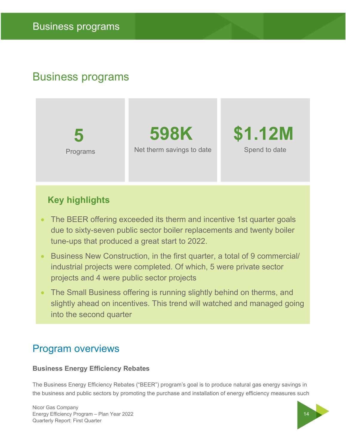**5**  Programs

**598K** Net therm savings to date **\$1.12M** Spend to date

### **Key highlights**

- The BEER offering exceeded its therm and incentive 1st quarter goals due to sixty-seven public sector boiler replacements and twenty boiler tune-ups that produced a great start to 2022.
- Business New Construction, in the first quarter, a total of 9 commercial/ industrial projects were completed. Of which, 5 were private sector projects and 4 were public sector projects
- The Small Business offering is running slightly behind on therms, and slightly ahead on incentives. This trend will watched and managed going into the second quarter

### Program overviews

#### **Business Energy Efficiency Rebates**

The Business Energy Efficiency Rebates ("BEER") program's goal is to produce natural gas energy savings in the business and public sectors by promoting the purchase and installation of energy efficiency measures such

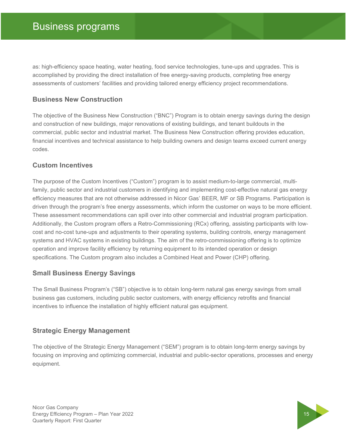as: high-efficiency space heating, water heating, food service technologies, tune-ups and upgrades. This is accomplished by providing the direct installation of free energy-saving products, completing free energy assessments of customers' facilities and providing tailored energy efficiency project recommendations.

#### **Business New Construction**

The objective of the Business New Construction ("BNC") Program is to obtain energy savings during the design and construction of new buildings, major renovations of existing buildings, and tenant buildouts in the commercial, public sector and industrial market. The Business New Construction offering provides education, financial incentives and technical assistance to help building owners and design teams exceed current energy codes.

#### **Custom Incentives**

The purpose of the Custom Incentives ("Custom") program is to assist medium-to-large commercial, multifamily, public sector and industrial customers in identifying and implementing cost-effective natural gas energy efficiency measures that are not otherwise addressed in Nicor Gas' BEER, MF or SB Programs. Participation is driven through the program's free energy assessments, which inform the customer on ways to be more efficient. These assessment recommendations can spill over into other commercial and industrial program participation. Additionally, the Custom program offers a Retro-Commissioning (RCx) offering, assisting participants with lowcost and no-cost tune-ups and adjustments to their operating systems, building controls, energy management systems and HVAC systems in existing buildings. The aim of the retro-commissioning offering is to optimize operation and improve facility efficiency by returning equipment to its intended operation or design specifications. The Custom program also includes a Combined Heat and Power (CHP) offering.

#### **Small Business Energy Savings**

The Small Business Program's ("SB") objective is to obtain long-term natural gas energy savings from small business gas customers, including public sector customers, with energy efficiency retrofits and financial incentives to influence the installation of highly efficient natural gas equipment.

#### **Strategic Energy Management**

The objective of the Strategic Energy Management ("SEM") program is to obtain long-term energy savings by focusing on improving and optimizing commercial, industrial and public-sector operations, processes and energy equipment.

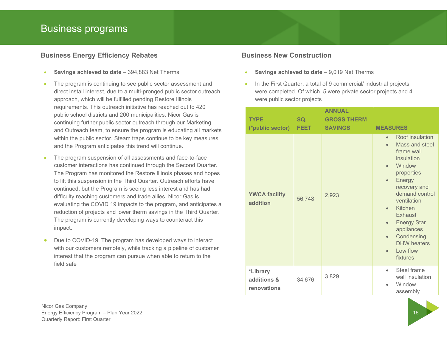#### **Business Energy Efficiency Rebates**

- **Savings achieved to date**  394,883 Net Therms
- The program is continuing to see public sector assessment and direct install interest, due to a multi-pronged public sector outreach approach, which will be fulfilled pending Restore Illinois requirements. This outreach initiative has reached out to 420 public school districts and 200 municipalities. Nicor Gas is continuing further public sector outreach through our Marketing and Outreach team, to ensure the program is educating all markets within the public sector. Steam traps continue to be key measures and the Program anticipates this trend will continue.
- The program suspension of all assessments and face-to-face customer interactions has continued through the Second Quarter. The Program has monitored the Restore Illinois phases and hopes to lift this suspension in the Third Quarter. Outreach efforts have continued, but the Program is seeing less interest and has had difficulty reaching customers and trade allies. Nicor Gas is evaluating the COVID 19 impacts to the program, and anticipates a reduction of projects and lower therm savings in the Third Quarter. The program is currently developing ways to counteract this impact.
- Due to COVID-19, The program has developed ways to interact with our customers remotely, while tracking a pipeline of customer interest that the program can pursue when able to return to the field safe

- **Business New Construction** 
	- **Savings achieved to date** 9,019 Net Therms
	- In the First Quarter, a total of 9 commercial/ industrial projects were completed. Of which, 5 were private sector projects and 4 were public sector projects

|  | <b>TYPE</b><br>(*public sector)        | SQ.<br><b>FEET</b> | <b>ANNUAL</b><br><b>GROSS THERM</b><br><b>SAVINGS</b> | <b>MEASURES</b>                                                                                                                                                                                                                                                                                                                                      |
|--|----------------------------------------|--------------------|-------------------------------------------------------|------------------------------------------------------------------------------------------------------------------------------------------------------------------------------------------------------------------------------------------------------------------------------------------------------------------------------------------------------|
|  | <b>YWCA facility</b><br>addition       | 56,748             | 2,923                                                 | Roof insulation<br>$\bullet$<br>Mass and steel<br>frame wall<br>insulation<br>Window<br>$\bullet$<br>properties<br>Energy<br>$\bullet$<br>recovery and<br>demand control<br>ventilation<br>Kitchen<br>$\bullet$<br>Exhaust<br><b>Energy Star</b><br>$\bullet$<br>appliances<br>Condensing<br>$\bullet$<br><b>DHW</b> heaters<br>Low flow<br>fixtures |
|  | *Library<br>additions &<br>renovations | 34,676             | 3,829                                                 | Steel frame<br>$\bullet$<br>wall insulation<br>Window<br>$\bullet$<br>assembly                                                                                                                                                                                                                                                                       |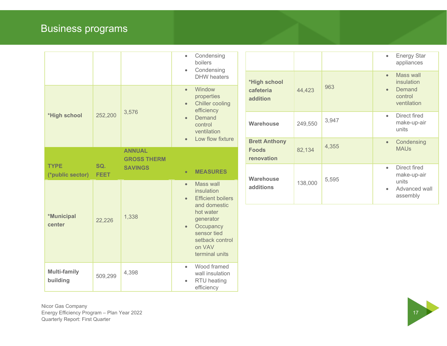|                                 |                    |                                                                                                                                | Condensing<br>$\bullet$<br>boilers<br>Condensing<br>$\bullet$<br><b>DHW</b> heaters                                                                                      |                                                    |         |       | <b>Energy Star</b><br>$\bullet$<br>appliances<br>Mass wall  |
|---------------------------------|--------------------|--------------------------------------------------------------------------------------------------------------------------------|--------------------------------------------------------------------------------------------------------------------------------------------------------------------------|----------------------------------------------------|---------|-------|-------------------------------------------------------------|
| *High school                    | 252,200            | 3,576                                                                                                                          | Window<br>$\bullet$<br>properties<br><b>Chiller cooling</b><br>$\bullet$<br>efficiency<br>Demand<br>$\bullet$<br>control<br>ventilation<br>Low flow fixture<br>$\bullet$ | *High school<br>cafeteria<br>addition              | 44,423  | 963   | insulation<br>Demand<br>$\bullet$<br>control<br>ventilation |
|                                 |                    |                                                                                                                                |                                                                                                                                                                          | <b>Warehouse</b>                                   | 249,550 | 3,947 | Direct fired<br>$\bullet$<br>make-up-air<br>units           |
|                                 |                    | <b>ANNUAL</b><br><b>GROSS THERM</b>                                                                                            |                                                                                                                                                                          | <b>Brett Anthony</b><br><b>Foods</b><br>renovation | 82,134  | 4,355 | Condensing<br><b>MAUs</b>                                   |
| <b>TYPE</b><br>(*public sector) | SQ.<br><b>FEET</b> | <b>SAVINGS</b>                                                                                                                 | <b>MEASURES</b><br>$\bullet$                                                                                                                                             | <b>Warehouse</b>                                   |         | 5,595 | Direct fired<br>$\bullet$<br>make-up-air                    |
| *Municipal<br>center            | 1,338<br>22,226    |                                                                                                                                | Mass wall<br>$\bullet$<br>insulation<br><b>Efficient boilers</b><br>$\bullet$                                                                                            | additions                                          | 138,000 |       | units<br>Advanced wall<br>assembly                          |
|                                 |                    | and domestic<br>hot water<br>generator<br>Occupancy<br>$\bullet$<br>sensor tied<br>setback control<br>on VAV<br>terminal units |                                                                                                                                                                          |                                                    |         |       |                                                             |
| <b>Multi-family</b><br>building | 509,299            | 4,398                                                                                                                          | Wood framed<br>$\bullet$<br>wall insulation<br>RTU heating<br>$\bullet$<br>efficiency                                                                                    |                                                    |         |       |                                                             |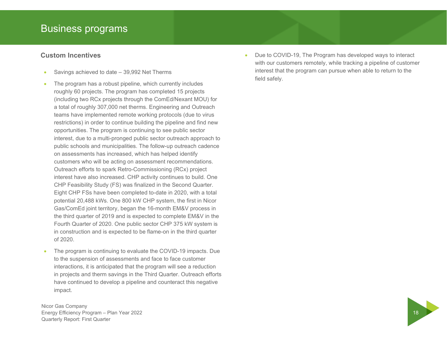#### **Custom Incentives**

- Savings achieved to date 39,992 Net Therms
- The program has a robust pipeline, which currently includes roughly 60 projects. The program has completed 15 projects (including two RCx projects through the ComEd/Nexant MOU) for a total of roughly 307,000 net therms. Engineering and Outreach teams have implemented remote working protocols (due to virus restrictions) in order to continue building the pipeline and find new opportunities. The program is continuing to see public sector interest, due to a multi-pronged public sector outreach approach to public schools and municipalities. The follow-up outreach cadence on assessments has increased, which has helped identify customers who will be acting on assessment recommendations. Outreach efforts to spark Retro-Commissioning (RCx) project interest have also increased. CHP activity continues to build. One CHP Feasibility Study (FS) was finalized in the Second Quarter. Eight CHP FSs have been completed to-date in 2020, with a total potential 20,488 kWs. One 800 kW CHP system, the first in Nicor Gas/ComEd joint territory, began the 16-month EM&V process in the third quarter of 2019 and is expected to complete EM&V in the Fourth Quarter of 2020. One public sector CHP 375 kW system is in construction and is expected to be flame-on in the third quarter of 2020.
- The program is continuing to evaluate the COVID-19 impacts. Due to the suspension of assessments and face to face customer interactions, it is anticipated that the program will see a reduction in projects and therm savings in the Third Quarter. Outreach efforts have continued to develop a pipeline and counteract this negative impact.

Nicor Gas Company Energy Efficiency Program – Plan Year 2022 18 Quarterly Report: First Quarter

 Due to COVID-19, The Program has developed ways to interact with our customers remotely, while tracking a pipeline of customer interest that the program can pursue when able to return to the field safely.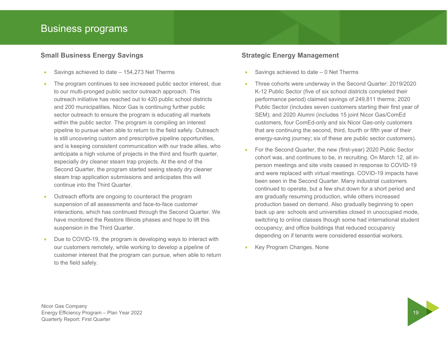#### **Small Business Energy Savings**

- Savings achieved to date 154,273 Net Therms
- The program continues to see increased public sector interest, due to our multi-pronged public sector outreach approach. This outreach initiative has reached out to 420 public school districts and 200 municipalities. Nicor Gas is continuing further public sector outreach to ensure the program is educating all markets within the public sector. The program is compiling an interest pipeline to pursue when able to return to the field safely. Outreach is still uncovering custom and prescriptive pipeline opportunities, and is keeping consistent communication with our trade allies, who anticipate a high volume of projects in the third and fourth quarter, especially dry cleaner steam trap projects. At the end of the Second Quarter, the program started seeing steady dry cleaner steam trap application submissions and anticipates this will continue into the Third Quarter.
- Outreach efforts are ongoing to counteract the program suspension of all assessments and face-to-face customer interactions, which has continued through the Second Quarter. We have monitored the Restore Illinois phases and hope to lift this suspension in the Third Quarter.
- Due to COVID-19, the program is developing ways to interact with our customers remotely, while working to develop a pipeline of customer interest that the program can pursue, when able to return to the field safely.

#### **Strategic Energy Management**

- Savings achieved to date 0 Net Therms
- Three cohorts were underway in the Second Quarter: 2019/2020 K-12 Public Sector (five of six school districts completed their performance period) claimed savings of 249,811 therms; 2020 Public Sector (includes seven customers starting their first year of SEM); and 2020 Alumni (includes 15 joint Nicor Gas/ComEd customers, four ComEd-only and six Nicor Gas-only customers that are continuing the second, third, fourth or fifth year of their energy-saving journey; six of these are public sector customers).
- For the Second Quarter, the new (first-year) 2020 Public Sector cohort was, and continues to be, in recruiting. On March 12, all inperson meetings and site visits ceased in response to COVID-19 and were replaced with virtual meetings. COVID-19 impacts have been seen in the Second Quarter. Many industrial customers continued to operate, but a few shut down for a short period and are gradually resuming production, while others increased production based on demand. Also gradually beginning to open back up are: schools and universities closed in unoccupied mode, switching to online classes though some had international student occupancy; and office buildings that reduced occupancy depending on if tenants were considered essential workers.
- Key Program Changes. None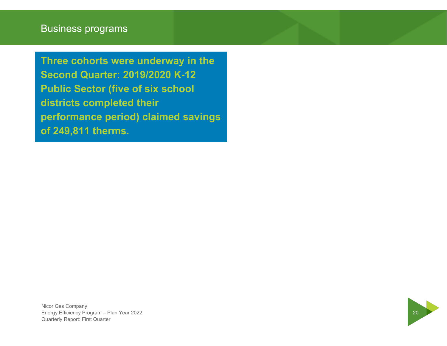**Three cohorts were underway in the Second Quarter: 2019/2020 K-12 Public Sector (five of six school districts completed their performance period) claimed savings of 249,811 therms.** 

Nicor Gas Company Energy Efficiency Program – Plan Year 2022 20 Quarterly Report: First Quarter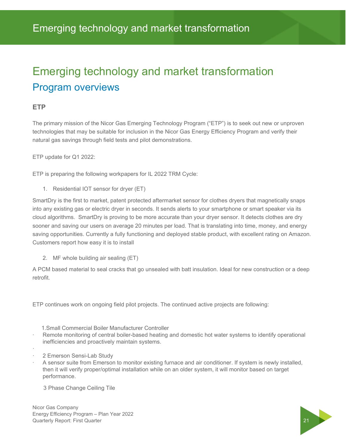### Emerging technology and market transformation Program overviews

#### **ETP**

The primary mission of the Nicor Gas Emerging Technology Program ("ETP") is to seek out new or unproven technologies that may be suitable for inclusion in the Nicor Gas Energy Efficiency Program and verify their natural gas savings through field tests and pilot demonstrations.

ETP update for Q1 2022:

ETP is preparing the following workpapers for IL 2022 TRM Cycle:

1. Residential IOT sensor for dryer (ET)

SmartDry is the first to market, patent protected aftermarket sensor for clothes dryers that magnetically snaps into any existing gas or electric dryer in seconds. It sends alerts to your smartphone or smart speaker via its cloud algorithms. SmartDry is proving to be more accurate than your dryer sensor. It detects clothes are dry sooner and saving our users on average 20 minutes per load. That is translating into time, money, and energy saving opportunities. Currently a fully functioning and deployed stable product, with excellent rating on Amazon. Customers report how easy it is to install

2. MF whole building air sealing (ET)

A PCM based material to seal cracks that go unsealed with batt insulation. Ideal for new construction or a deep retrofit.

ETP continues work on ongoing field pilot projects. The continued active projects are following:

- 1.Small Commercial Boiler Manufacturer Controller
- Remote monitoring of central boiler-based heating and domestic hot water systems to identify operational inefficiencies and proactively maintain systems.
- · 2 Emerson Sensi-Lab Study
- · A sensor suite from Emerson to monitor existing furnace and air conditioner. If system is newly installed, then it will verify proper/optimal installation while on an older system, it will monitor based on target performance.

3 Phase Change Ceiling Tile

Nicor Gas Company Energy Efficiency Program – Plan Year 2022 <u>Chergy Emberty Program Pram Four ECLE</u><br>Quarterly Report: First Quarter 21

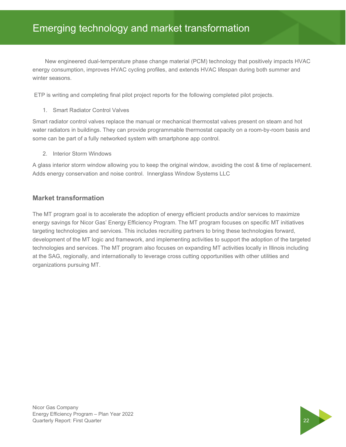### Emerging technology and market transformation

energy consumption, improves HVAC cycling profiles, and extends HVAC lifespan during both summer and<br>winter seasons New engineered dual-temperature phase change material (PCM) technology that positively impacts HVAC winter seasons.

ETP is writing and completing final pilot project reports for the following completed pilot projects.

1. Smart Radiator Control Valves

Smart radiator control valves replace the manual or mechanical thermostat valves present on steam and hot water radiators in buildings. They can provide programmable thermostat capacity on a room-by-room basis and some can be part of a fully networked system with smartphone app control.

2. Interior Storm Windows

A glass interior storm window allowing you to keep the original window, avoiding the cost & time of replacement. Adds energy conservation and noise control. Innerglass Window Systems LLC

#### **Market transformation**

The MT program goal is to accelerate the adoption of energy efficient products and/or services to maximize energy savings for Nicor Gas' Energy Efficiency Program. The MT program focuses on specific MT initiatives targeting technologies and services. This includes recruiting partners to bring these technologies forward, development of the MT logic and framework, and implementing activities to support the adoption of the targeted technologies and services. The MT program also focuses on expanding MT activities locally in Illinois including at the SAG, regionally, and internationally to leverage cross cutting opportunities with other utilities and organizations pursuing MT.

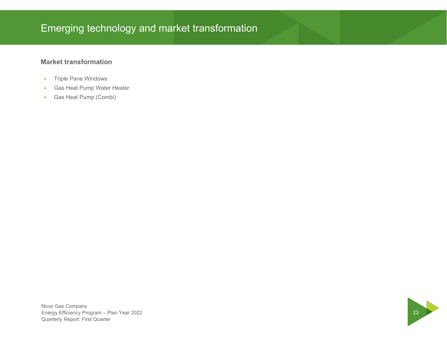### Emerging technology and market transformation

#### **Market transformation**

- **•** Triple Pane Windows
- Gas Heat Pump Water Heater
- Gas Heat Pump (Combi)

Nicor Gas Company Nicor Gas Company<br>Energy Efficiency Program – Plan Year 2022<br>Quarterly Report: First Quarter Quarterly Report: First Quarter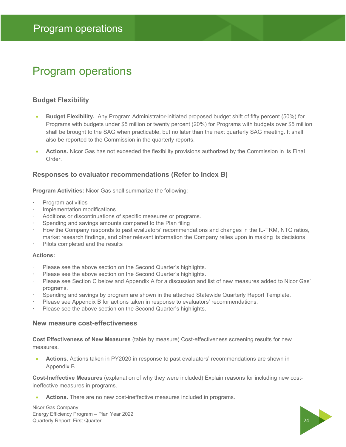### Program operations

#### **Budget Flexibility**

- **Budget Flexibility.** Any Program Administrator-initiated proposed budget shift of fifty percent (50%) for Programs with budgets under \$5 million or twenty percent (20%) for Programs with budgets over \$5 million shall be brought to the SAG when practicable, but no later than the next quarterly SAG meeting. It shall also be reported to the Commission in the quarterly reports.
- **Actions.** Nicor Gas has not exceeded the flexibility provisions authorized by the Commission in its Final Order.

#### **Responses to evaluator recommendations (Refer to Index B)**

**Program Activities:** Nicor Gas shall summarize the following:

- · Program activities
- · Implementation modifications
- Additions or discontinuations of specific measures or programs.
- Spending and savings amounts compared to the Plan filing
- · How the Company responds to past evaluators' recommendations and changes in the IL-TRM, NTG ratios, market research findings, and other relevant information the Company relies upon in making its decisions
- Pilots completed and the results

#### **Actions:**

- Please see the above section on the Second Quarter's highlights.
- Please see the above section on the Second Quarter's highlights.
- · Please see Section C below and Appendix A for a discussion and list of new measures added to Nicor Gas' programs.
- · Spending and savings by program are shown in the attached Statewide Quarterly Report Template.
- Please see Appendix B for actions taken in response to evaluators' recommendations.
- Please see the above section on the Second Quarter's highlights.

#### **New measure cost-effectiveness**

**Cost Effectiveness of New Measures** (table by measure) Cost-effectiveness screening results for new measures.

 **Actions.** Actions taken in PY2020 in response to past evaluators' recommendations are shown in Appendix B.

**Cost-Ineffective Measures** (explanation of why they were included) Explain reasons for including new costineffective measures in programs.

**Actions.** There are no new cost-ineffective measures included in programs.

Nicor Gas Company Energy Efficiency Program – Plan Year 2022 Quarterly Report: First Quarter 24 24

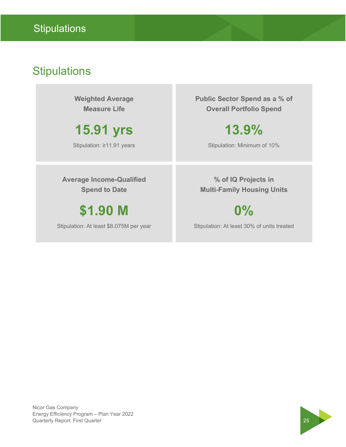### **Stipulations**

**Weighted Average Measure Life** 

**15.91 yrs** 

Stipulation: ≥11.91 years

**Public Sector Spend as a % of Overall Portfolio Spend** 

### **13.9%**

Stipulation: Minimum of 10%

**Average Income-Qualified Spend to Date** 

**\$1.90 M**

Stipulation: At least \$8.075M per year

**% of IQ Projects in Multi-Family Housing Units** 

**0%**

Stipulation: At least 30% of units treated

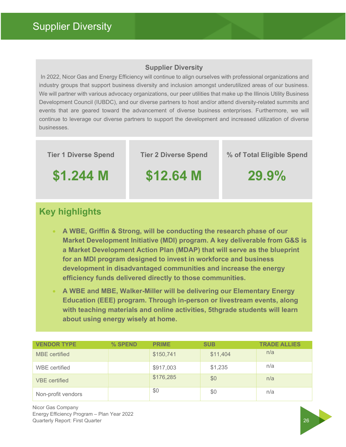#### **Supplier Diversity**

 In 2022, Nicor Gas and Energy Efficiency will continue to align ourselves with professional organizations and industry groups that support business diversity and inclusion amongst underutilized areas of our business. We will partner with various advocacy organizations, our peer utilities that make up the Illinois Utility Business Development Council (IUBDC), and our diverse partners to host and/or attend diversity-related summits and events that are geared toward the advancement of diverse business enterprises. Furthermore, we will continue to leverage our diverse partners to support the development and increased utilization of diverse businesses.

**Tier 1 Diverse Spend** 

**Tier 2 Diverse Spend** 

**% of Total Eligible Spend** 

**\$1.244 M**

**\$12.64 M**

**29.9%**

### **Key highlights**

- **A WBE, Griffin & Strong, will be conducting the research phase of our Market Development Initiative (MDI) program. A key deliverable from G&S is a Market Development Action Plan (MDAP) that will serve as the blueprint for an MDI program designed to invest in workforce and business development in disadvantaged communities and increase the energy efficiency funds delivered directly to those communities.**
- **A WBE and MBE, Walker-Miller will be delivering our Elementary Energy Education (EEE) program. Through in-person or livestream events, along with teaching materials and online activities, 5thgrade students will learn about using energy wisely at home.**

| <b>VENDOR TYPE</b>   | % SPEND | <b>PRIME</b> | <b>SUB</b> | <b>TRADE ALLIES</b> |
|----------------------|---------|--------------|------------|---------------------|
| <b>MBE</b> certified |         | \$150,741    | \$11,404   | n/a                 |
| <b>WBE</b> certified |         | \$917,003    | \$1,235    | n/a                 |
| <b>VBE</b> certified |         | \$176,285    | \$0        | n/a                 |
| Non-profit vendors   |         | \$0          | \$0        | n/a                 |

Nicor Gas Company Energy Efficiency Program – Plan Year 2022 **Constanting Report: First Quarter 26 According to the Constanting Constanting Constanting 26 According 26 26 According 26 According 26 According 26 According 26 According 26 According 26 According 26 According 26 Accordin**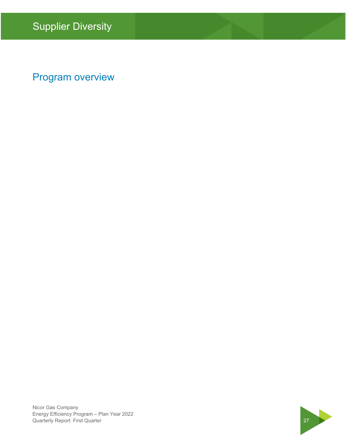### Program overview

Nicor Gas Company Energy Efficiency Program – Plan Year 2022 Energy Efficiency Program – Plan Year 2022<br>Quarterly Report: First Quarter 2022

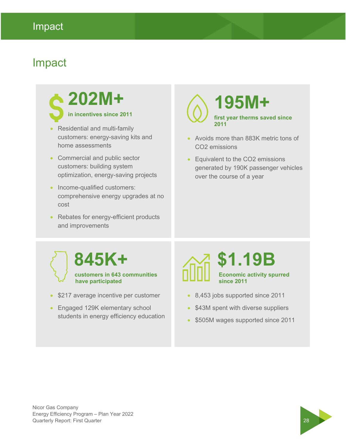### Impact

## **202M+ in incentives since 2011**

- Residential and multi-family customers: energy-saving kits and home assessments
- Commercial and public sector customers: building system optimization, energy-saving projects
- Income-qualified customers: comprehensive energy upgrades at no cost
- Rebates for energy-efficient products and improvements

### **195M+ first year therms saved since 2011**

- Avoids more than 883K metric tons of CO2 emissions
- Equivalent to the CO2 emissions generated by 190K passenger vehicles over the course of a year

### **845K+ customers in 643 communities have participated**

- \$217 average incentive per customer
- **Engaged 129K elementary school** students in energy efficiency education

### **\$1.19B Economic activity spurred since 2011**

- 8,453 jobs supported since 2011
- \$43M spent with diverse suppliers
- \$505M wages supported since 2011

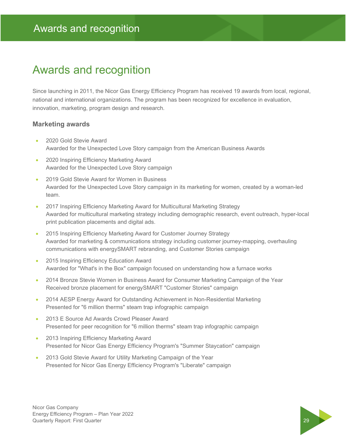### Awards and recognition

Since launching in 2011, the Nicor Gas Energy Efficiency Program has received 19 awards from local, regional, national and international organizations. The program has been recognized for excellence in evaluation, innovation, marketing, program design and research.

#### **Marketing awards**

- 2020 Gold Stevie Award Awarded for the Unexpected Love Story campaign from the American Business Awards
- 2020 Inspiring Efficiency Marketing Award Awarded for the Unexpected Love Story campaign
- 2019 Gold Stevie Award for Women in Business Awarded for the Unexpected Love Story campaign in its marketing for women, created by a woman-led team.
- 2017 Inspiring Efficiency Marketing Award for Multicultural Marketing Strategy Awarded for multicultural marketing strategy including demographic research, event outreach, hyper-local print publication placements and digital ads.
- 2015 Inspiring Efficiency Marketing Award for Customer Journey Strategy Awarded for marketing & communications strategy including customer journey-mapping, overhauling communications with energySMART rebranding, and Customer Stories campaign
- 2015 Inspiring Efficiency Education Award Awarded for "What's in the Box" campaign focused on understanding how a furnace works
- 2014 Bronze Stevie Women in Business Award for Consumer Marketing Campaign of the Year Received bronze placement for energySMART "Customer Stories" campaign
- 2014 AESP Energy Award for Outstanding Achievement in Non-Residential Marketing Presented for "6 million therms" steam trap infographic campaign
- 2013 E Source Ad Awards Crowd Pleaser Award Presented for peer recognition for "6 million therms" steam trap infographic campaign
- 2013 Inspiring Efficiency Marketing Award Presented for Nicor Gas Energy Efficiency Program's "Summer Staycation" campaign
- 2013 Gold Stevie Award for Utility Marketing Campaign of the Year Presented for Nicor Gas Energy Efficiency Program's "Liberate" campaign